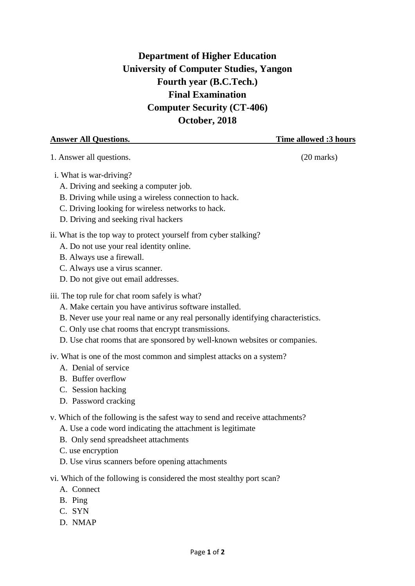## **Department of Higher Education University of Computer Studies, Yangon Fourth year (B.C.Tech.) Final Examination Computer Security (CT-406) October, 2018**

**Answer All Questions. Time allowed :3 hours**

1. Answer all questions. (20 marks)

- i. What is war-driving?
	- A. Driving and seeking a computer job.
	- B. Driving while using a wireless connection to hack.
	- C. Driving looking for wireless networks to hack.
	- D. Driving and seeking rival hackers
- ii. What is the top way to protect yourself from cyber stalking?
	- A. Do not use your real identity online.
	- B. Always use a firewall.
	- C. Always use a virus scanner.
	- D. Do not give out email addresses.

iii. The top rule for chat room safely is what?

- A. Make certain you have antivirus software installed.
- B. Never use your real name or any real personally identifying characteristics.
- C. Only use chat rooms that encrypt transmissions.
- D. Use chat rooms that are sponsored by well-known websites or companies.

iv. What is one of the most common and simplest attacks on a system?

- A. Denial of service
- B. Buffer overflow
- C. Session hacking
- D. Password cracking
- v. Which of the following is the safest way to send and receive attachments?
	- A. Use a code word indicating the attachment is legitimate
	- B. Only send spreadsheet attachments
	- C. use encryption
	- D. Use virus scanners before opening attachments
- vi. Which of the following is considered the most stealthy port scan?
	- A. Connect
	- B. Ping
	- C. SYN
	- D. NMAP